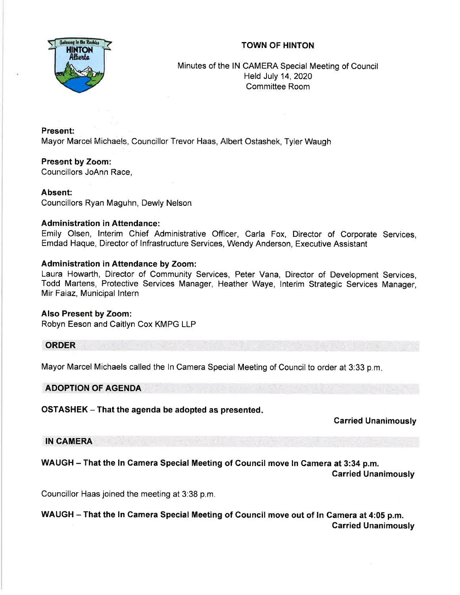## TOWN OF HINTON



Minutes of the lN CAMERA Special Meeting of Council Held July 14,2020 Committee Room

Present: Mayor Mancel Michaels, Councillor Trevor Haas, Albert Ostashek, Tyler Waugh

Present by Zoom: Councillors JoAnn Race,

## Absent:

Councillors Ryan Maguhn, Dewly Nelson

#### Administration in Attendance:

Emily Olsen, lnterim Chief Administrative Officer, Carla Fox, Director of Corporate Services, Emdad Haque, Director of lnfrastructure Services, Wendy Anderson, Executive Assistant

## Administration in Attendance by Zoom:

Laura Howarth, Director of Community Services, Peter Vana, Director of Development Services, Todd Martens, Protective Services Manager, Heather Waye, lnterim Strategic Services Manager, Mir Faiaz, Municipal lntern

#### Also Present by Zoom:

Robyn Eeson and Caitlyn Cox KMPG LLP

#### **ORDER**

Mayor Marcel Michaels called the ln Camera Special Meeting of Council to order at 3:33 p.m

#### ADOPTION OF AGENDA

OSTASHEK - That the agenda be adopted as presented.

Garried Unanimously

IN CAMERA

WAUGH - That the ln Gamera Special Meeting of Gouncil move ln Camera at 3:34 p.m.

Carried Unanimously

Councillor Haas joined the meeting at 3:38 p.m.

WAUGH - That the ln Gamera Special Meeting of Gouncil move out of ln Camera at 4:05 p.m. Garried Unanimously